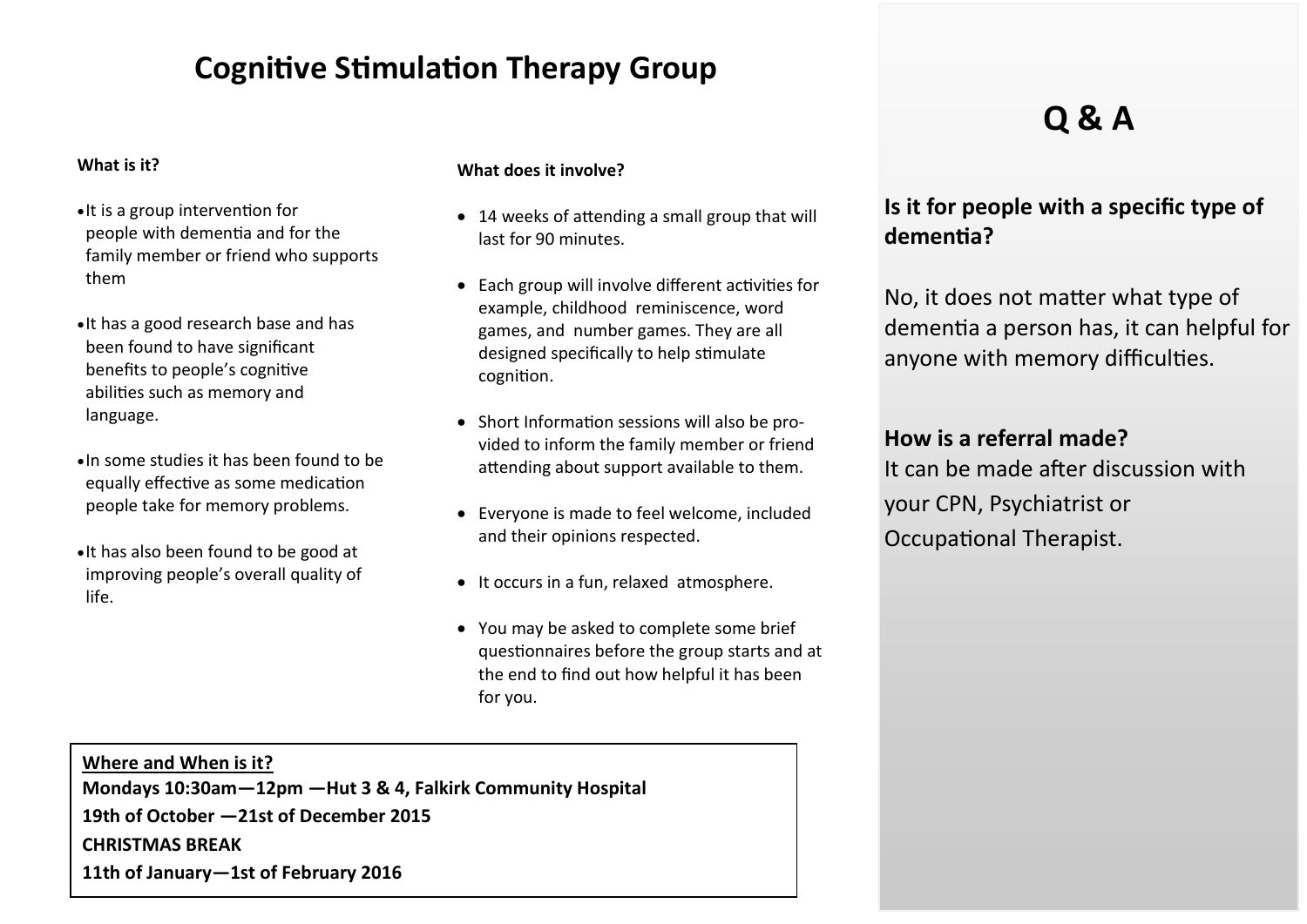## **Cognitive Stimulation Therapy Group**

#### **What is it?**

- $\bullet$  It is a group intervention for people with dementia and for the family member or friend who supports them
- It has a good research base and has been found to have significant benefits to people's cognitive abilities such as memory and language.
- In some studies it has been found to be equally effective as some medication people take for memory problems.
- It has also been found to be good at improving people's overall quality of life.

#### **What does it involve?**

- 14 weeks of attending a small group that will last for 90 minutes.
- Each group will involve different activities for example, childhood reminiscence, word games, and number games. They are all designed specifically to help stimulate cognition.
- Short Information sessions will also be provided to inform the family member or friend attending about support available to them.
- Everyone is made to feel welcome, included and their opinions respected.
- It occurs in a fun, relaxed atmosphere.
- You may be asked to complete some brief questionnaires before the group starts and at the end to find out how helpful it has been for you.

**Where and When is it? Mondays 10:30am—12pm —Hut 3 & 4, Falkirk Community Hospital 19th of October —21st of December 2015 CHRISTMAS BREAK 11th of January—1st of February 2016**

# **Q & A**

## **Is it for people with a specific type of dementia?**

No, it does not matter what type of dementia a person has, it can helpful for anyone with memory difficulties.

## **How is a referral made?**

It can be made after discussion with your CPN, Psychiatrist or Occupational Therapist.